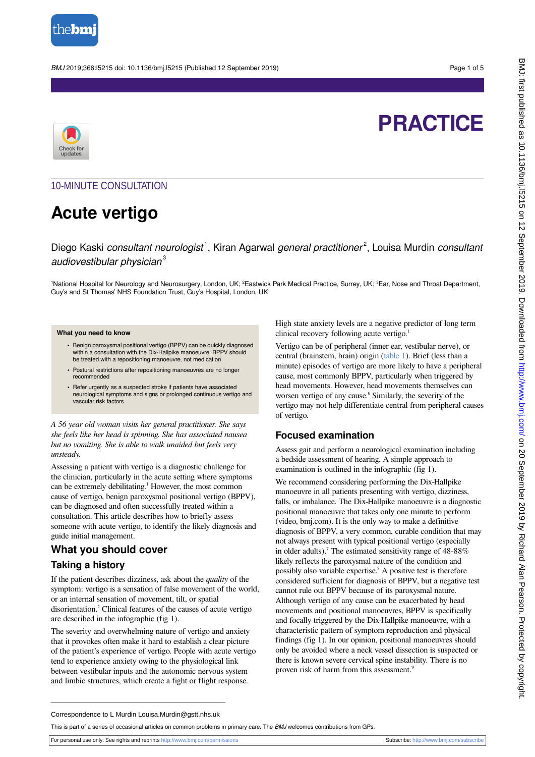

BMJ 2019;366:l5215 doi: 10.1136/bmj.l5215 (Published 12 September 2019) Page 1 of 5



## **PRACTICE**

#### 10-MINUTE CONSULTATION

### **Acute vertigo**

Diego Kaski consultant neurologist<sup>1</sup>, Kiran Agarwal general practitioner<sup>2</sup>, Louisa Murdin consultant audiovestibular physician $3$ 

<sup>1</sup>National Hospital for Neurology and Neurosurgery, London, UK; <sup>2</sup>Eastwick Park Medical Practice, Surrey, UK; <sup>3</sup>Ear, Nose and Throat Department, Guy's and St Thomas' NHS Foundation Trust, Guy's Hospital, London, UK

#### **What you need to know**

- **•** Benign paroxysmal positional vertigo (BPPV) can be quickly diagnosed within a consultation with the Dix-Hallpike manoeuvre. BPPV should be treated with a repositioning manoeuvre, not medication
- **•** Postural restrictions after repositioning manoeuvres are no longer recommended
- **•** Refer urgently as a suspected stroke if patients have associated neurological symptoms and signs or prolonged continuous vertigo and vascular risk factors

*A 56 year old woman visits her general practitioner. She says she feels like her head is spinning. She has associated nausea but no vomiting. She is able to walk unaided but feels very unsteady.*

Assessing a patient with vertigo is a diagnostic challenge for the clinician, particularly in the acute setting where symptoms can be extremely debilitating.<sup>1</sup> However, the most common cause of vertigo, benign paroxysmal positional vertigo (BPPV), can be diagnosed and often successfully treated within a consultation. This article describes how to briefly assess someone with acute vertigo, to identify the likely diagnosis and guide initial management.

#### **What you should cover**

#### **Taking a history**

If the patient describes dizziness, ask about the *quality* of the symptom: vertigo is a sensation of false movement of the world, or an internal sensation of movement, tilt, or spatial disorientation.<sup>2</sup> Clinical features of the causes of acute vertigo are described in the infographic (fig 1).

The severity and overwhelming nature of vertigo and anxiety that it provokes often make it hard to establish a clear picture of the patient's experience of vertigo. People with acute vertigo tend to experience anxiety owing to the physiological link between vestibular inputs and the autonomic nervous system and limbic structures, which create a fight or flight response.

High state anxiety levels are a negative predictor of long term clinical recovery following acute vertigo.<sup>1</sup>

Vertigo can be of peripheral (inner ear, vestibular nerve), or central (brainstem, brain) origin [\(table 1\)](#page-3-0). Brief (less than a minute) episodes of vertigo are more likely to have a peripheral cause, most commonly BPPV, particularly when triggered by head movements. However, head movements themselves can worsen vertigo of any cause.<sup>6</sup> Similarly, the severity of the vertigo may not help differentiate central from peripheral causes of vertigo.

#### **Focused examination**

Assess gait and perform a neurological examination including a bedside assessment of hearing. A simple approach to examination is outlined in the infographic (fig 1).

We recommend considering performing the Dix-Hallpike manoeuvre in all patients presenting with vertigo, dizziness, falls, or imbalance. The Dix-Hallpike manoeuvre is a diagnostic positional manoeuvre that takes only one minute to perform (video, bmj.com). It is the only way to make a definitive diagnosis of BPPV, a very common, curable condition that may not always present with typical positional vertigo (especially in older adults).<sup>7</sup> The estimated sensitivity range of 48-88% likely reflects the paroxysmal nature of the condition and possibly also variable expertise.<sup>8</sup> A positive test is therefore considered sufficient for diagnosis of BPPV, but a negative test cannot rule out BPPV because of its paroxysmal nature. Although vertigo of any cause can be exacerbated by head movements and positional manoeuvres, BPPV is specifically and focally triggered by the Dix-Hallpike manoeuvre, with a characteristic pattern of symptom reproduction and physical findings (fig 1). In our opinion, positional manoeuvres should only be avoided where a neck vessel dissection is suspected or there is known severe cervical spine instability. There is no proven risk of harm from this assessment.<sup>9</sup>

Correspondence to L Murdin Louisa.Murdin@gstt.nhs.uk

This is part of a series of occasional articles on common problems in primary care. The BMJ welcomes contributions from GPs.

For personal use only: See rights and reprints<http://www.bmj.com/permissions> Subscribe: <http://www.bmj.com/subscribe>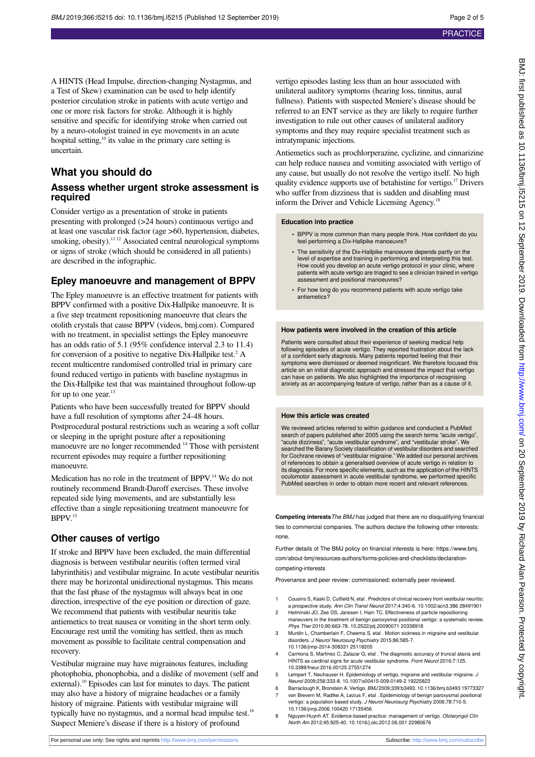A HINTS (Head Impulse, direction-changing Nystagmus, and a Test of Skew) examination can be used to help identify posterior circulation stroke in patients with acute vertigo and one or more risk factors for stroke. Although it is highly sensitive and specific for identifying stroke when carried out by a neuro-otologist trained in eye movements in an acute hospital setting,<sup>10</sup> its value in the primary care setting is uncertain.

#### **What you should do**

#### **Assess whether urgent stroke assessment is required**

Consider vertigo as a presentation of stroke in patients presenting with prolonged (>24 hours) continuous vertigo and at least one vascular risk factor (age >60, hypertension, diabetes, smoking, obesity).<sup>11 12</sup> Associated central neurological symptoms or signs of stroke (which should be considered in all patients) are described in the infographic.

#### **Epley manoeuvre and management of BPPV**

The Epley manoeuvre is an effective treatment for patients with BPPV confirmed with a positive Dix-Hallpike manoeuvre. It is a five step treatment repositioning manoeuvre that clears the otolith crystals that cause BPPV (videos, bmj.com). Compared with no treatment, in specialist settings the Epley manoeuvre has an odds ratio of 5.1 (95% confidence interval 2.3 to 11.4) for conversion of a positive to negative Dix-Hallpike test.<sup>2</sup> A recent multicentre randomised controlled trial in primary care found reduced vertigo in patients with baseline nystagmus in the Dix-Hallpike test that was maintained throughout follow-up for up to one year.<sup>13</sup>

Patients who have been successfully treated for BPPV should have a full resolution of symptoms after 24-48 hours. Postprocedural postural restrictions such as wearing a soft collar or sleeping in the upright posture after a repositioning manoeuvre are no longer recommended <sup>14</sup> Those with persistent recurrent episodes may require a further repositioning manoeuvre.

Medication has no role in the treatment of BPPV.<sup>14</sup> We do not routinely recommend Brandt-Daroff exercises. These involve repeated side lying movements, and are substantially less effective than a single repositioning treatment manoeuvre for BPPV.<sup>15</sup>

#### **Other causes of vertigo**

If stroke and BPPV have been excluded, the main differential diagnosis is between vestibular neuritis (often termed viral labyrinthitis) and vestibular migraine. In acute vestibular neuritis there may be horizontal unidirectional nystagmus. This means that the fast phase of the nystagmus will always beat in one direction, irrespective of the eye position or direction of gaze. We recommend that patients with vestibular neuritis take antiemetics to treat nausea or vomiting in the short term only. Encourage rest until the vomiting has settled, then as much movement as possible to facilitate central compensation and recovery.

Vestibular migraine may have migrainous features, including photophobia, phonophobia, and a dislike of movement (self and external).<sup>10</sup> Episodes can last for minutes to days. The patient may also have a history of migraine headaches or a family history of migraine. Patients with vestibular migraine will typically have no nystagmus, and a normal head impulse test.<sup>16</sup> Suspect Meniere's disease if there is a history of profound

vertigo episodes lasting less than an hour associated with unilateral auditory symptoms (hearing loss, tinnitus, aural fullness). Patients with suspected Meniere's disease should be referred to an ENT service as they are likely to require further investigation to rule out other causes of unilateral auditory symptoms and they may require specialist treatment such as intratympanic injections.

Antiemetics such as prochlorperazine, cyclizine, and cinnarizine can help reduce nausea and vomiting associated with vertigo of any cause, but usually do not resolve the vertigo itself. No high quality evidence supports use of betahistine for vertigo.<sup>17</sup> Drivers who suffer from dizziness that is sudden and disabling must inform the Driver and Vehicle Licensing Agency.<sup>18</sup>

#### **Education into practice**

- **•** BPPV is more common than many people think. How confident do you feel performing a Dix-Hallpike manoeuvre?
- **•** The sensitivity of the Dix-Hallpike manoeuvre depends partly on the level of expertise and training in performing and interpreting this test. How could you develop an acute vertigo protocol in your clinic, where patients with acute vertigo are triaged to see a clinician trained in vertigo assessment and positional manoeuvres?
- **•** For how long do you recommend patients with acute vertigo take antiemetics?

#### **How patients were involved in the creation of this article**

Patients were consulted about their experience of seeking medical help following episodes of acute vertigo. They reported frustration about the lack of a confident early diagnosis. Many patients reported feeling that their symptoms were dismissed or deemed insignificant. We therefore focused this article on an initial diagnostic approach and stressed the impact that vertigo can have on patients. We also highlighted the importance of recognising anxiety as an accompanying feature of vertigo, rather than as a cause of it.

#### **How this article was created**

We reviewed articles referred to within guidance and conducted a PubMed search of papers published after 2005 using the search terms "acute vertigo", "acute dizziness", "acute vestibular syndrome", and "vestibular stroke". We searched the Barany Society classification of vestibular disorders and searched for Cochrane reviews of "vestibular migraine." We added our personal archives of references to obtain a generalised overview of acute vertigo in relation to its diagnosis. For more specific elements, such as the application of the HINTS oculomotor assessment in acute vestibular syndrome, we performed specific PubMed searches in order to obtain more recent and relevant references.

**Competing interests**The BMJ has judged that there are no disqualifying financial ties to commercial companies. The authors declare the following other interests: none.

Further details of The BMJ policy on financial interests is here: https://www.bmi. com/about-bmj/resources-authors/forms-policies-and-checklists/declarationcompeting-interests

Provenance and peer review: commissioned; externally peer reviewed.

- 1 Cousins S, Kaski D, Cutfield N, etal . Predictors of clinical recovery from vestibular neuritis: a prospective study. Ann Clin Transl Neurol 2017;4:340-6. 10.1002/acn3.386 28491901
- 2 Helminski JO, Zee DS, Janssen I, Hain TC. Effectiveness of particle repositioning maneuvers in the treatment of benign paroxysmal positional vertigo: a systematic review. Phys Ther 2010;90:663-78. 10.2522/ptj.20090071 20338918
- 3 Murdin L, Chamberlain F, Cheema S, etal . Motion sickness in migraine and vestibular disorders. J Neurol Neurosurg Psychiatry 2015;86:585-7. 10.1136/jnnp-2014-308331 25118205
- 4 Carmona S, Martínez C, Zalazar G, etal . The diagnostic accuracy of truncal ataxia and HINTS as cardinal signs for acute vestibular syndrome. Front Neurol 2016;7:125. 10.3389/fneur.2016.00125 27551274
- 5 Lempert T, Neuhauser H. Epidemiology of vertigo, migraine and vestibular migraine. J Neurol 2009;256:333-8. 10.1007/s00415-009-0149-2 19225823
- 6 Barraclough K, Bronstein A. Vertigo. BMJ 2009;339:b3493. 10.1136/bmj.b3493 19773327 7 von Brevern M, Radtke A, Lezius F, etal . Epidemiology of benign paroxysmal positional vertigo: a population based study. J Neurol Neurosurg Psychiatry 2006;78:710-5. 10.1136/jnnp.2006.100420 17135456
- 8 Nguyen-Huynh AT. Evidence-based practice: management of vertigo. Otolaryngol Clin North Am 2012;45:925-40. 10.1016/j.otc.2012.06.001 22980676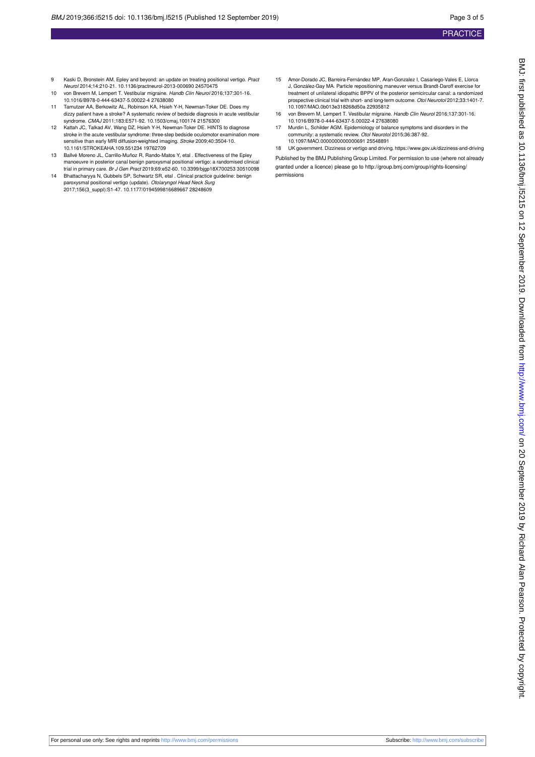- 9 Kaski D, Bronstein AM. Epley and beyond: an update on treating positional vertigo. Pract Neurol 2014;14:210-21. 10.1136/practneurol-2013-000690 24570475
- 10 von Brevern M, Lempert T. Vestibular migraine. Handb Clin Neurol 2016;137:301-16. 10.1016/B978-0-444-63437-5.00022-4 27638080 11 Tarnutzer AA, Berkowitz AL, Robinson KA, Hsieh Y-H, Newman-Toker DE. Does my
- dizzy patient have a stroke? A systematic review of bedside diagnosis in acute vestibular syndrome. CMAJ 2011;183:E571-92. 10.1503/cmaj.100174 21576300
- 12 Kattah JC, Talkad AV, Wang DZ, Hsieh Y-H, Newman-Toker DE. HINTS to diagnose stroke in the acute vestibular syndrome: three-step bedside oculomotor examination more sensitive than early MRI diffusion-weighted imaging. Stroke 2009;40:3504-10. 10.1161/STROKEAHA.109.551234 19762709
- 13 Ballvé Moreno JL, Carrillo-Muñoz R, Rando-Matos Y, etal . Effectiveness of the Epley manoeuvre in posterior canal benign paroxysmal positional vertigo: a randomised clinical trial in primary care. Br J Gen Pract 2019;69:e52-60. 10.3399/bjgp18X700253 30510098
- 14 Bhattacharyya N, Gubbels SP, Schwartz SR, etal . Clinical practice guideline: benign paroxysmal positional vertigo (update). *Otolaryngol Head Neck Surg*<br>2017;156(3\_suppl):S1-47. 10.1177/0194599816689667 28248609
- 15 Amor-Dorado JC, Barreira-Fernández MP, Aran-Gonzalez I, Casariego-Vales E, Llorca J, González-Gay MA. Particle repositioning maneuver versus Brandt-Daroff exercise for treatment of unilateral idiopathic BPPV of the posterior semicircular canal: a randomized prospective clinical trial with short- and long-term outcome. Otol Neurotol 2012;33:1401-7. 10.1097/MAO.0b013e318268d50a 22935812
- 16 von Brevern M, Lempert T. Vestibular migraine. Handb Clin Neurol 2016;137:301-16. 10.1016/B978-0-444-63437-5.00022-4 27638080
- 17 Murdin L, Schilder AGM. Epidemiology of balance symptoms and disorders in the<br>community: a systematic review. Otol Neurotol 2015;36:387-92. 10.1097/MAO.0000000000000691 25548891

18 UK government. Dizziness or vertigo and driving. https://www.gov.uk/dizziness-and-driving Published by the BMJ Publishing Group Limited. For permission to use (where not already granted under a licence) please go to [http://group.bmj.com/group/rights-licensing/](http://group.bmj.com/group/rights-licensing/permissions) [permissions](http://group.bmj.com/group/rights-licensing/permissions)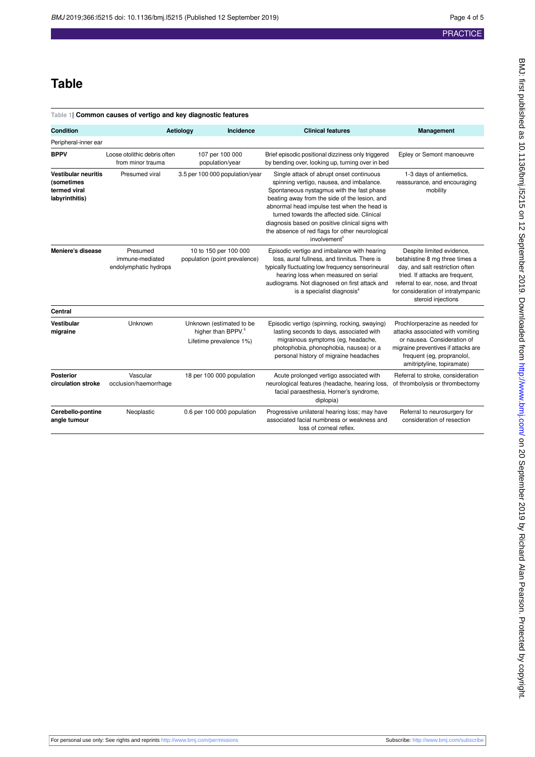# <span id="page-3-0"></span>**Table 1| Common causes of vertigo and key diagnostic features Condition Aetiology Incidence Clinical features Management**

**Table**

| Peripheral-inner ear                                                       |                                                      |                                                                                       |                                                                                                                                                                                                                                                                                                                                                                                                                   |                                                                                                                                                                                                                                    |
|----------------------------------------------------------------------------|------------------------------------------------------|---------------------------------------------------------------------------------------|-------------------------------------------------------------------------------------------------------------------------------------------------------------------------------------------------------------------------------------------------------------------------------------------------------------------------------------------------------------------------------------------------------------------|------------------------------------------------------------------------------------------------------------------------------------------------------------------------------------------------------------------------------------|
| <b>BPPV</b>                                                                | Loose otolithic debris often<br>from minor trauma    | 107 per 100 000<br>population/year                                                    | Brief episodic positional dizziness only triggered<br>by bending over, looking up, turning over in bed                                                                                                                                                                                                                                                                                                            | Epley or Semont manoeuvre                                                                                                                                                                                                          |
| <b>Vestibular neuritis</b><br>(sometimes<br>termed viral<br>labyrinthitis) | Presumed viral                                       | 3.5 per 100 000 population/year                                                       | Single attack of abrupt onset continuous<br>spinning vertigo, nausea, and imbalance.<br>Spontaneous nystagmus with the fast phase<br>beating away from the side of the lesion, and<br>abnormal head impulse test when the head is<br>turned towards the affected side. Clinical<br>diagnosis based on positive clinical signs with<br>the absence of red flags for other neurological<br>involvement <sup>3</sup> | 1-3 days of antiemetics,<br>reassurance, and encouraging<br>mobility                                                                                                                                                               |
| Meniere's disease                                                          | Presumed<br>immune-mediated<br>endolymphatic hydrops | 10 to 150 per 100 000<br>population (point prevalence)                                | Episodic vertigo and imbalance with hearing<br>loss, aural fullness, and tinnitus. There is<br>typically fluctuating low frequency sensorineural<br>hearing loss when measured on serial<br>audiograms. Not diagnosed on first attack and<br>is a specialist diagnosis <sup>4</sup>                                                                                                                               | Despite limited evidence,<br>betahistine 8 mg three times a<br>day, and salt restriction often<br>tried. If attacks are frequent,<br>referral to ear, nose, and throat<br>for consideration of intratympanic<br>steroid injections |
| Central                                                                    |                                                      |                                                                                       |                                                                                                                                                                                                                                                                                                                                                                                                                   |                                                                                                                                                                                                                                    |
| Vestibular<br>migraine                                                     | Unknown                                              | Unknown (estimated to be<br>higher than BPPV. <sup>5</sup><br>Lifetime prevalence 1%) | Episodic vertigo (spinning, rocking, swaying)<br>lasting seconds to days, associated with<br>migrainous symptoms (eg, headache,<br>photophobia, phonophobia, nausea) or a<br>personal history of migraine headaches                                                                                                                                                                                               | Prochlorperazine as needed for<br>attacks associated with vomiting<br>or nausea. Consideration of<br>migraine preventives if attacks are<br>frequent (eg, propranolol,<br>amitriptyline, topiramate)                               |
| <b>Posterior</b><br>circulation stroke                                     | Vascular<br>occlusion/haemorrhage                    | 18 per 100 000 population                                                             | Acute prolonged vertigo associated with<br>neurological features (headache, hearing loss,<br>facial paraesthesia, Horner's syndrome,<br>diplopia)                                                                                                                                                                                                                                                                 | Referral to stroke, consideration<br>of thrombolysis or thrombectomy                                                                                                                                                               |
| Cerebello-pontine<br>angle tumour                                          | Neoplastic                                           | 0.6 per 100 000 population                                                            | Progressive unilateral hearing loss; may have<br>associated facial numbness or weakness and<br>loss of corneal reflex.                                                                                                                                                                                                                                                                                            | Referral to neurosurgery for<br>consideration of resection                                                                                                                                                                         |